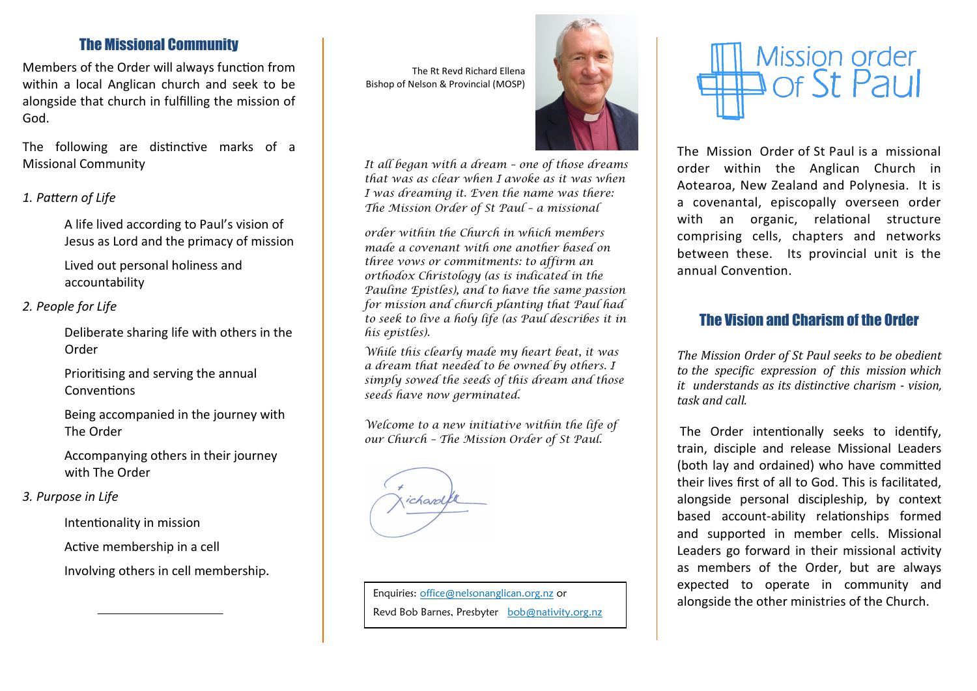# The Missional Community

Members of the Order will always function from within a local Anglican church and seek to be alongside that church in fulfilling the mission of God.

The following are distinctive marks of a Missional Community

## *1. Pattern of Life*

A life lived according to Paul's vision of Jesus as Lord and the primacy of mission

Lived out personal holiness and accountability

### *2. People for Life*

Deliberate sharing life with others in the Order

Prioritising and serving the annual **Conventions** 

Being accompanied in the journey with The Order

Accompanying others in their journey with The Order

#### *3. Purpose in Life*

Intentionality in mission

Active membership in a cell

Involving others in cell membership.

The Rt Revd Richard Ellena Bishop of Nelson & Provincial (MOSP)



*It all began with a dream – one of those dreams that was as clear when I awoke as it was when I was dreaming it. Even the name was there: The Mission Order of St Paul – a missional* 

*order within the Church in which members made a covenant with one another based on three vows or commitments: to affirm an orthodox Christology (as is indicated in the Pauline Epistles), and to have the same passion for mission and church planting that Paul had to seek to live a holy life (as Paul describes it in his epistles).*

*While this clearly made my heart beat, it was a dream that needed to be owned by others. I simply sowed the seeds of this dream and those seeds have now germinated.*

*Welcome to a new initiative within the life of our Church – The Mission Order of St Paul.*

ichard

Enquiries: [office@nelsonanglican.org.nz](mailto:office@nelsonanglican.org.nz) or Revd Bob Barnes, Presbyter [bob@nativity.org.nz](mailto:bob@nativity.org.nz)



The Mission Order of St Paul is a missional order within the Anglican Church in Aotearoa, New Zealand and Polynesia. It is a covenantal, episcopally overseen order with an organic, relational structure comprising cells, chapters and networks between these. Its provincial unit is the annual Convention.

# The Vision and Charism of the Order

*The Mission Order of St Paul seeks to be obedient to the specific expression of this mission which it understands as its distinctive charism - vision, task and call.*

The Order intentionally seeks to identify, train, disciple and release Missional Leaders (both lay and ordained) who have committed their lives first of all to God. This is facilitated, alongside personal discipleship, by context based account-ability relationships formed and supported in member cells. Missional Leaders go forward in their missional activity as members of the Order, but are always expected to operate in community and alongside the other ministries of the Church.